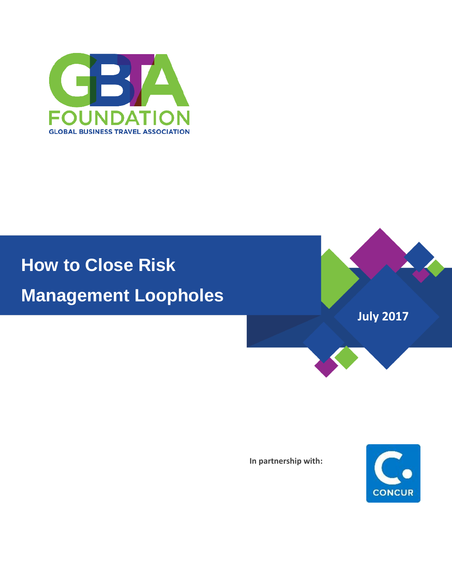

### **How to Close Risk**

**Management Loopholes**

**July 2017**

**In partnership with:**

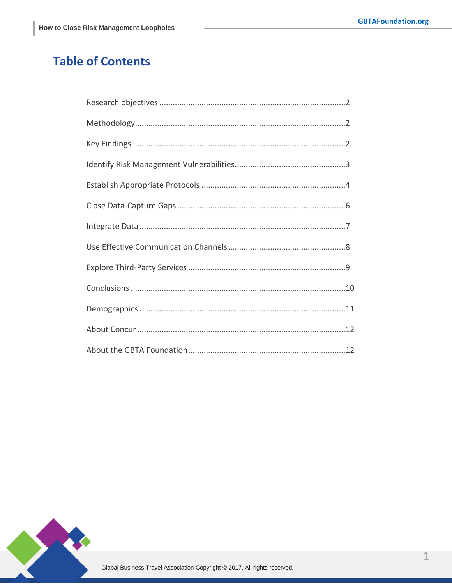### **Table of Contents**



 $\overline{\mathbb{1}}$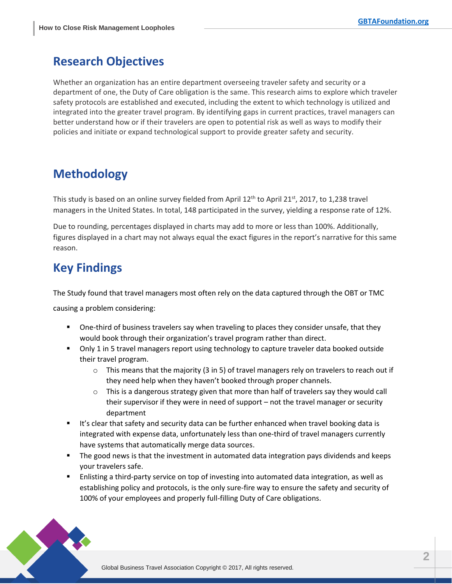### **Research Objectives**

Whether an organization has an entire department overseeing traveler safety and security or a department of one, the Duty of Care obligation is the same. This research aims to explore which traveler safety protocols are established and executed, including the extent to which technology is utilized and integrated into the greater travel program. By identifying gaps in current practices, travel managers can better understand how or if their travelers are open to potential risk as well as ways to modify their policies and initiate or expand technological support to provide greater safety and security.

### **Methodology**

This study is based on an online survey fielded from April  $12<sup>th</sup>$  to April 21st, 2017, to 1,238 travel managers in the United States. In total, 148 participated in the survey, yielding a response rate of 12%.

Due to rounding, percentages displayed in charts may add to more or less than 100%. Additionally, figures displayed in a chart may not always equal the exact figures in the report's narrative for this same reason.

### **Key Findings**

The Study found that travel managers most often rely on the data captured through the OBT or TMC

causing a problem considering:

- **Dime-third of business travelers say when traveling to places they consider unsafe, that they** would book through their organization's travel program rather than direct.
- Only 1 in 5 travel managers report using technology to capture traveler data booked outside their travel program.
	- $\circ$  This means that the majority (3 in 5) of travel managers rely on travelers to reach out if they need help when they haven't booked through proper channels.
	- $\circ$  This is a dangerous strategy given that more than half of travelers say they would call their supervisor if they were in need of support – not the travel manager or security department
- It's clear that safety and security data can be further enhanced when travel booking data is integrated with expense data, unfortunately less than one-third of travel managers currently have systems that automatically merge data sources.
- **The good news is that the investment in automated data integration pays dividends and keeps** your travelers safe.
- Enlisting a third-party service on top of investing into automated data integration, as well as establishing policy and protocols, is the only sure-fire way to ensure the safety and security of 100% of your employees and properly full-filling Duty of Care obligations.

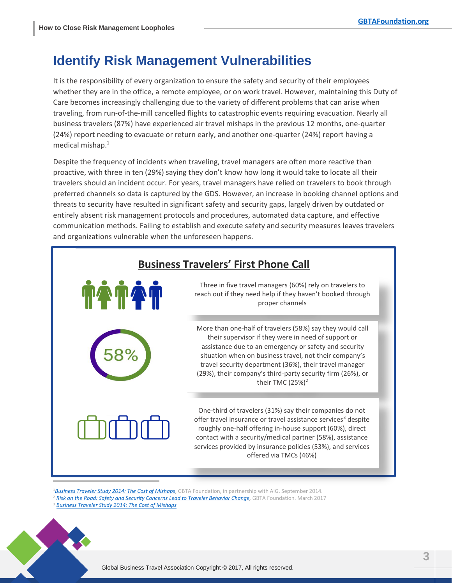### **Identify Risk Management Vulnerabilities**

It is the responsibility of every organization to ensure the safety and security of their employees whether they are in the office, a remote employee, or on work travel. However, maintaining this Duty of Care becomes increasingly challenging due to the variety of different problems that can arise when traveling, from run-of-the-mill cancelled flights to catastrophic events requiring evacuation. Nearly all business travelers (87%) have experienced air travel mishaps in the previous 12 months, one-quarter (24%) report needing to evacuate or return early, and another one-quarter (24%) report having a medical mishap.<sup>1</sup>

Despite the frequency of incidents when traveling, travel managers are often more reactive than proactive, with three in ten (29%) saying they don't know how long it would take to locate all their travelers should an incident occur. For years, travel managers have relied on travelers to book through preferred channels so data is captured by the GDS. However, an increase in booking channel options and threats to security have resulted in significant safety and security gaps, largely driven by outdated or entirely absent risk management protocols and procedures, automated data capture, and effective communication methods. Failing to establish and execute safety and security measures leaves travelers and organizations vulnerable when the unforeseen happens.



**<sup>1</sup>***[Business Traveler Study 2014: The Cost of Mishaps](http://www.gbta.org/PressReleases/Pages/rls_092414.aspx)*, GBTA Foundation, in partnership with AIG. September 2014. <sup>2</sup> *[Risk on the Road: Safety and Security Concerns Lead to Traveler Behavior Change,](http://blog.gbta.org/2017/03/15/risk-on-the-road-are-business-travelers-packing-fear-in-their-briefcase/)* GBTA Foundation. March 2017 <sup>3</sup> *[Business Traveler Study 2014: The Cost of Mishaps](http://www.gbta.org/PressReleases/Pages/rls_092414.aspx)*

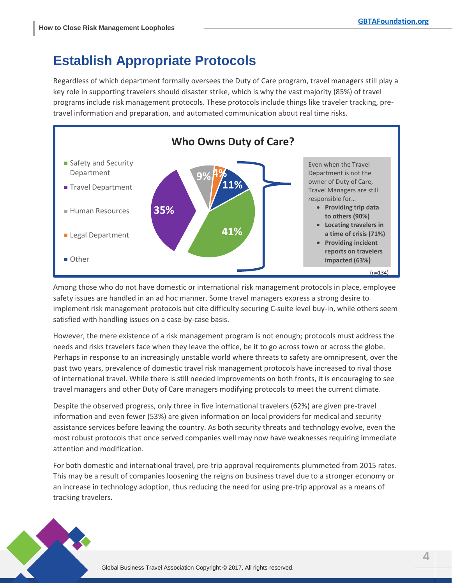### **Establish Appropriate Protocols**

Regardless of which department formally oversees the Duty of Care program, travel managers still play a key role in supporting travelers should disaster strike, which is why the vast majority (85%) of travel programs include risk management protocols. These protocols include things like traveler tracking, pretravel information and preparation, and automated communication about real time risks.



Among those who do not have domestic or international risk management protocols in place, employee safety issues are handled in an ad hoc manner. Some travel managers express a strong desire to implement risk management protocols but cite difficulty securing C-suite level buy-in, while others seem satisfied with handling issues on a case-by-case basis.

However, the mere existence of a risk management program is not enough; protocols must address the needs and risks travelers face when they leave the office, be it to go across town or across the globe. Perhaps in response to an increasingly unstable world where threats to safety are omnipresent, over the past two years, prevalence of domestic travel risk management protocols have increased to rival those of international travel. While there is still needed improvements on both fronts, it is encouraging to see travel managers and other Duty of Care managers modifying protocols to meet the current climate.

Despite the observed progress, only three in five international travelers (62%) are given pre-travel information and even fewer (53%) are given information on local providers for medical and security assistance services before leaving the country. As both security threats and technology evolve, even the most robust protocols that once served companies well may now have weaknesses requiring immediate attention and modification.

For both domestic and international travel, pre-trip approval requirements plummeted from 2015 rates. This may be a result of companies loosening the reigns on business travel due to a stronger economy or an increase in technology adoption, thus reducing the need for using pre-trip approval as a means of tracking travelers.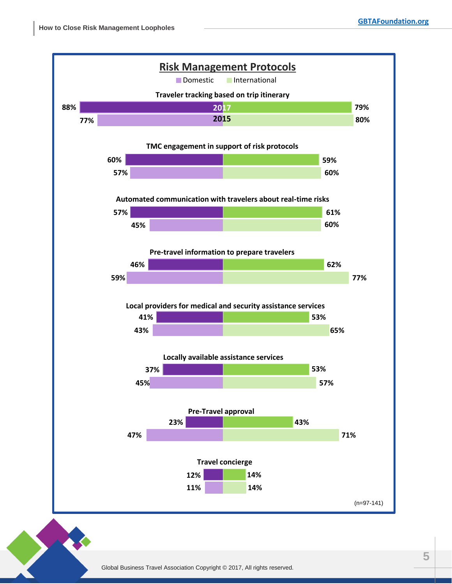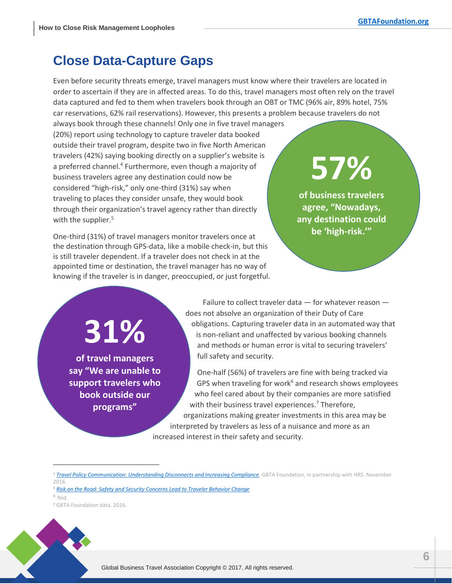### **Close Data-Capture Gaps**

Even before security threats emerge, travel managers must know where their travelers are located in order to ascertain if they are in affected areas. To do this, travel managers most often rely on the travel data captured and fed to them when travelers book through an OBT or TMC (96% air, 89% hotel, 75% car reservations, 62% rail reservations). However, this presents a problem because travelers do not

always book through these channels! Only one in five travel managers (20%) report using technology to capture traveler data booked outside their travel program, despite two in five North American travelers (42%) saying booking directly on a supplier's website is a preferred channel.<sup>4</sup> Furthermore, even though a majority of business travelers agree any destination could now be considered "high-risk," only one-third (31%) say when traveling to places they consider unsafe, they would book through their organization's travel agency rather than directly with the supplier.<sup>5</sup>

One-third (31%) of travel managers monitor travelers once at the destination through GPS-data, like a mobile check-in, but this is still traveler dependent. If a traveler does not check in at the appointed time or destination, the travel manager has no way of knowing if the traveler is in danger, preoccupied, or just forgetful.

# **57%**

**of business travelers agree, "Nowadays, any destination could be 'high-risk.'"**

## **31%**

**of travel managers say "We are unable to support travelers who book outside our programs"**

Failure to collect traveler data — for whatever reason does not absolve an organization of their Duty of Care obligations. Capturing traveler data in an automated way that is non-reliant and unaffected by various booking channels and methods or human error is vital to securing travelers' full safety and security.

One-half (56%) of travelers are fine with being tracked via GPS when traveling for work $6$  and research shows employees who feel cared about by their companies are more satisfied with their business travel experiences.<sup>7</sup> Therefore, organizations making greater investments in this area may be interpreted by travelers as less of a nuisance and more as an increased interest in their safety and security.

- **<sup>5</sup>** *[Risk on the Road: Safety and Security Concerns Lead to Traveler Behavior Change](http://blog.gbta.org/2017/03/15/risk-on-the-road-are-business-travelers-packing-fear-in-their-briefcase/)*
- 6 Ibid.
- **<sup>7</sup>** GBTA Foundation data. 2016.



 <sup>4</sup> *[Travel Policy Communication: Understanding Disconnects and Increasing Compliance,](https://www.gbta.org/foundation/pressreleases/Pages/RLS_111516.aspx)* GBTA Foundation, in partnership with HRS. November 2016.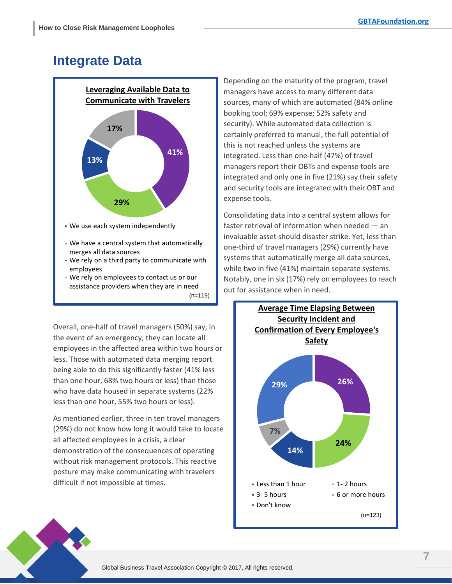### **Integrate Data**



Overall, one-half of travel managers (50%) say, in the event of an emergency, they can locate all employees in the affected area within two hours or less. Those with automated data merging report being able to do this significantly faster (41% less than one hour, 68% two hours or less) than those who have data housed in separate systems (22% less than one hour, 55% two hours or less).

As mentioned earlier, three in ten travel managers (29%) do not know how long it would take to locate all affected employees in a crisis, a clear demonstration of the consequences of operating without risk management protocols. This reactive posture may make communicating with travelers difficult if not impossible at times.

Depending on the maturity of the program, travel managers have access to many different data sources, many of which are automated (84% online booking tool; 69% expense; 52% safety and security). While automated data collection is certainly preferred to manual, the full potential of this is not reached unless the systems are integrated. Less than one-half (47%) of travel managers report their OBTs and expense tools are integrated and only one in five (21%) say their safety and security tools are integrated with their OBT and expense tools.

Consolidating data into a central system allows for faster retrieval of information when needed — an invaluable asset should disaster strike. Yet, less than one-third of travel managers (29%) currently have systems that automatically merge all data sources, while two in five (41%) maintain separate systems. Notably, one in six (17%) rely on employees to reach out for assistance when in need.

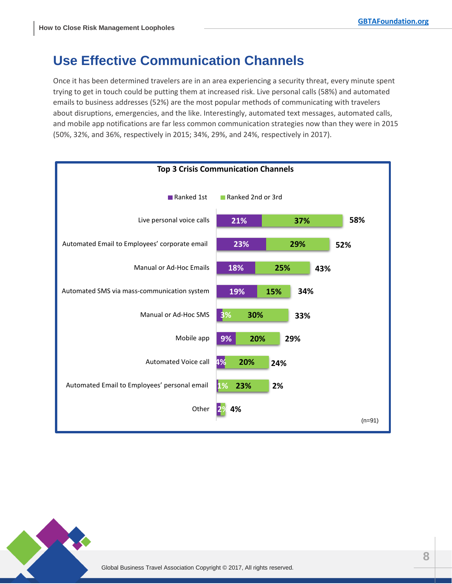### **Use Effective Communication Channels**

Once it has been determined travelers are in an area experiencing a security threat, every minute spent trying to get in touch could be putting them at increased risk. Live personal calls (58%) and automated emails to business addresses (52%) are the most popular methods of communicating with travelers about disruptions, emergencies, and the like. Interestingly, automated text messages, automated calls, and mobile app notifications are far less common communication strategies now than they were in 2015 (50%, 32%, and 36%, respectively in 2015; 34%, 29%, and 24%, respectively in 2017).



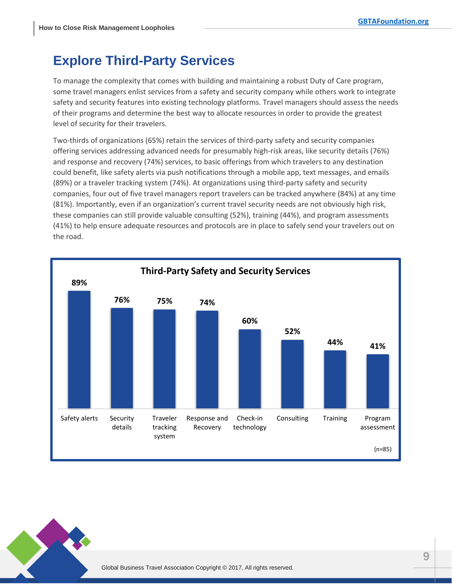### **Explore Third-Party Services**

To manage the complexity that comes with building and maintaining a robust Duty of Care program, some travel managers enlist services from a safety and security company while others work to integrate safety and security features into existing technology platforms. Travel managers should assess the needs of their programs and determine the best way to allocate resources in order to provide the greatest level of security for their travelers.

Two-thirds of organizations (65%) retain the services of third-party safety and security companies offering services addressing advanced needs for presumably high-risk areas, like security details (76%) and response and recovery (74%) services, to basic offerings from which travelers to any destination could benefit, like safety alerts via push notifications through a mobile app, text messages, and emails (89%) or a traveler tracking system (74%). At organizations using third-party safety and security companies, four out of five travel managers report travelers can be tracked anywhere (84%) at any time (81%). Importantly, even if an organization's current travel security needs are not obviously high risk, these companies can still provide valuable consulting (52%), training (44%), and program assessments (41%) to help ensure adequate resources and protocols are in place to safely send your travelers out on the road.



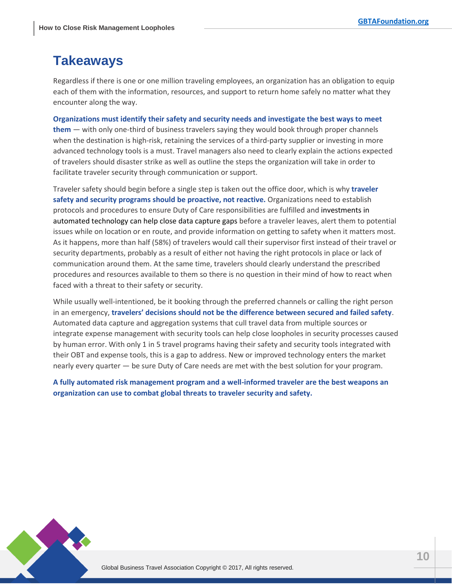### **Takeaways**

Regardless if there is one or one million traveling employees, an organization has an obligation to equip each of them with the information, resources, and support to return home safely no matter what they encounter along the way.

**Organizations must identify their safety and security needs and investigate the best ways to meet them** — with only one-third of business travelers saying they would book through proper channels when the destination is high-risk, retaining the services of a third-party supplier or investing in more advanced technology tools is a must. Travel managers also need to clearly explain the actions expected of travelers should disaster strike as well as outline the steps the organization will take in order to facilitate traveler security through communication or support.

Traveler safety should begin before a single step is taken out the office door, which is why **traveler safety and security programs should be proactive, not reactive.** Organizations need to establish protocols and procedures to ensure Duty of Care responsibilities are fulfilled and investments in automated technology can help close data capture gaps before a traveler leaves, alert them to potential issues while on location or en route, and provide information on getting to safety when it matters most. As it happens, more than half (58%) of travelers would call their supervisor first instead of their travel or security departments, probably as a result of either not having the right protocols in place or lack of communication around them. At the same time, travelers should clearly understand the prescribed procedures and resources available to them so there is no question in their mind of how to react when faced with a threat to their safety or security.

While usually well-intentioned, be it booking through the preferred channels or calling the right person in an emergency, **travelers' decisions should not be the difference between secured and failed safety**. Automated data capture and aggregation systems that cull travel data from multiple sources or integrate expense management with security tools can help close loopholes in security processes caused by human error. With only 1 in 5 travel programs having their safety and security tools integrated with their OBT and expense tools, this is a gap to address. New or improved technology enters the market nearly every quarter — be sure Duty of Care needs are met with the best solution for your program.

**A fully automated risk management program and a well-informed traveler are the best weapons an organization can use to combat global threats to traveler security and safety.** 

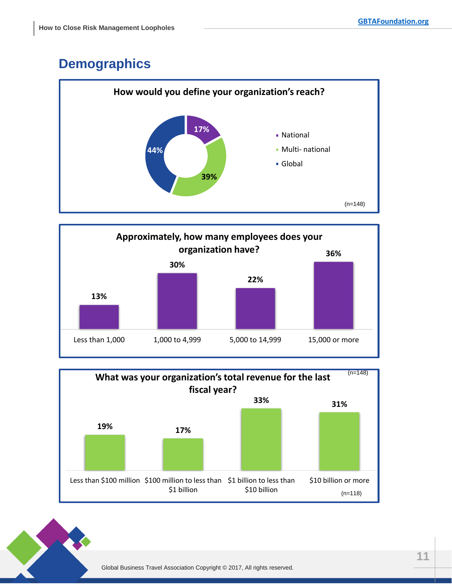### **Demographics**